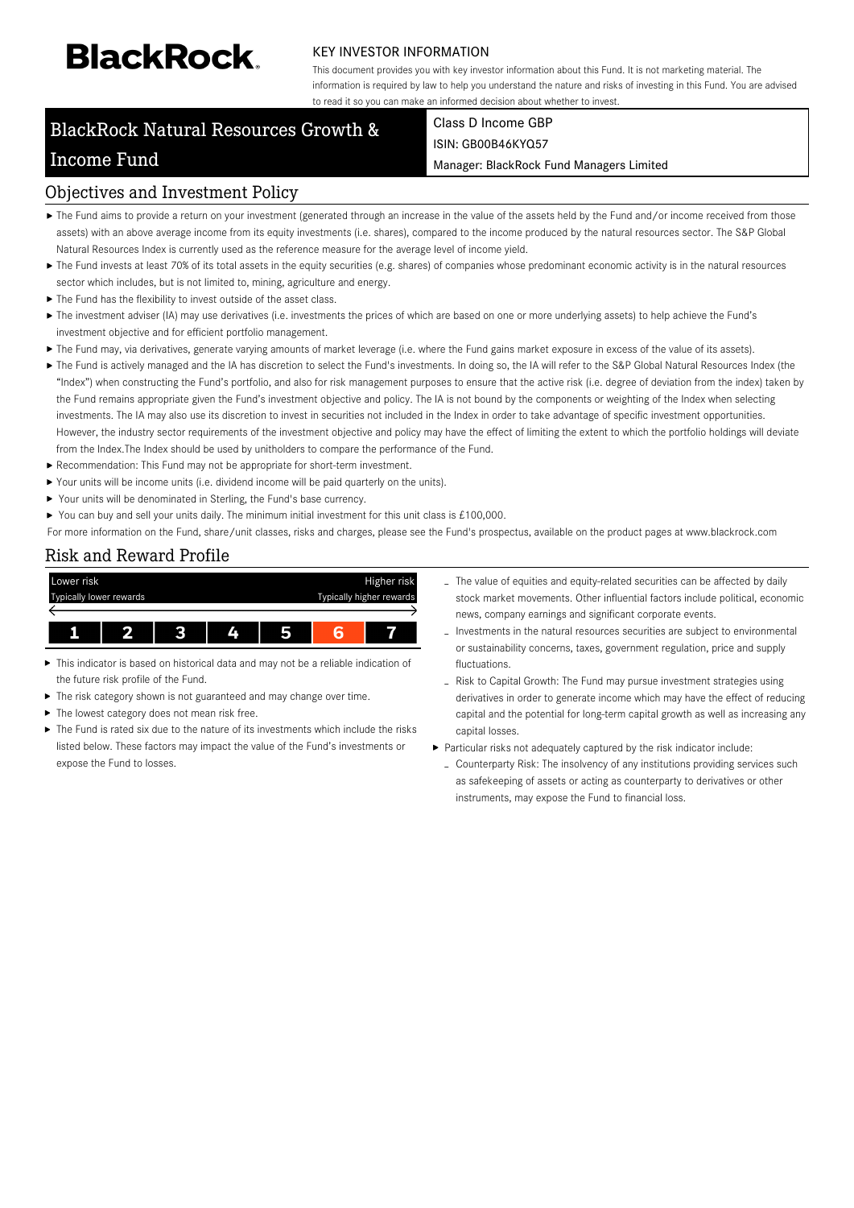# **BlackRock**

#### KEY INVESTOR INFORMATION

This document provides you with key investor information about this Fund. It is not marketing material. The information is required by law to help you understand the nature and risks of investing in this Fund. You are advised to read it so you can make an informed decision about whether to invest.

# BlackRock Natural Resources Growth & Income Fund

# Class D Income GBP ISIN: GB00B46KYQ57

Manager: BlackRock Fund Managers Limited

# Objectives and Investment Policy

- ▶ The Fund aims to provide a return on your investment (generated through an increase in the value of the assets held by the Fund and/or income received from those assets) with an above average income from its equity investments (i.e. shares), compared to the income produced by the natural resources sector. The S&P Global Natural Resources Index is currently used as the reference measure for the average level of income yield.
- ▶ The Fund invests at least 70% of its total assets in the equity securities (e.g. shares) of companies whose predominant economic activity is in the natural resources sector which includes, but is not limited to, mining, agriculture and energy.
- $\blacktriangleright$  The Fund has the flexibility to invest outside of the asset class.
- ▶ The investment adviser (IA) may use derivatives (i.e. investments the prices of which are based on one or more underlying assets) to help achieve the Fund's investment objective and for efficient portfolio management.
- ▶ The Fund may, via derivatives, generate varying amounts of market leverage (i.e. where the Fund gains market exposure in excess of the value of its assets).
- ▶ The Fund is actively managed and the IA has discretion to select the Fund's investments. In doing so, the IA will refer to the S&P Global Natural Resources Index (the "Index") when constructing the Fund's portfolio, and also for risk management purposes to ensure that the active risk (i.e. degree of deviation from the index) taken by the Fund remains appropriate given the Fund's investment objective and policy. The IA is not bound by the components or weighting of the Index when selecting investments. The IA may also use its discretion to invest in securities not included in the Index in order to take advantage of specific investment opportunities. However, the industry sector requirements of the investment objective and policy may have the effect of limiting the extent to which the portfolio holdings will deviate from the Index.The Index should be used by unitholders to compare the performance of the Fund.
- Recommendation: This Fund may not be appropriate for short-term investment.
- Your units will be income units (i.e. dividend income will be paid quarterly on the units).
- Your units will be denominated in Sterling, the Fund's base currency.
- You can buy and sell your units daily. The minimum initial investment for this unit class is £100,000.

For more information on the Fund, share/unit classes, risks and charges, please see the Fund's prospectus, available on the product pages at www.blackrock.com

# Risk and Reward Profile



- This indicator is based on historical data and may not be a reliable indication of the future risk profile of the Fund.
- The risk category shown is not guaranteed and may change over time.
- The lowest category does not mean risk free.
- The Fund is rated six due to the nature of its investments which include the risks listed below. These factors may impact the value of the Fund's investments or expose the Fund to losses.
- The value of equities and equity-related securities can be affected by daily stock market movements. Other influential factors include political, economic news, company earnings and significant corporate events.
- Investments in the natural resources securities are subject to environmental or sustainability concerns, taxes, government regulation, price and supply fluctuations.
- Risk to Capital Growth: The Fund may pursue investment strategies using derivatives in order to generate income which may have the effect of reducing capital and the potential for long-term capital growth as well as increasing any capital losses.
- Particular risks not adequately captured by the risk indicator include:
	- Counterparty Risk: The insolvency of any institutions providing services such as safekeeping of assets or acting as counterparty to derivatives or other instruments, may expose the Fund to financial loss.